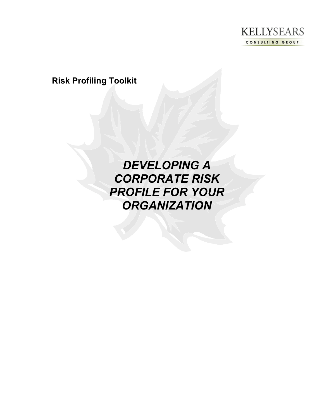

**Risk Profiling Toolkit**

*DEVELOPING A CORPORATE RISK PROFILE FOR YOUR ORGANIZATION*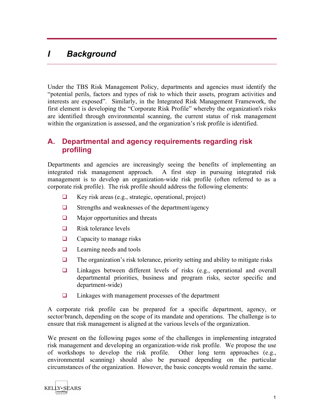# *I Background*

Under the TBS Risk Management Policy, departments and agencies must identify the "potential perils, factors and types of risk to which their assets, program activities and interests are exposed". Similarly, in the Integrated Risk Management Framework, the first element is developing the "Corporate Risk Profile" whereby the organization's risks are identified through environmental scanning, the current status of risk management within the organization is assessed, and the organization's risk profile is identified.

### **A. Departmental and agency requirements regarding risk profiling**

Departments and agencies are increasingly seeing the benefits of implementing an integrated risk management approach. A first step in pursuing integrated risk management is to develop an organization-wide risk profile (often referred to as a corporate risk profile). The risk profile should address the following elements:

- $\Box$  Key risk areas (e.g., strategic, operational, project)
- $\Box$  Strengths and weaknesses of the department/agency
- $\Box$  Major opportunities and threats
- $\Box$  Risk tolerance levels
- $\Box$  Capacity to manage risks
- $\Box$  Learning needs and tools
- $\Box$  The organization's risk tolerance, priority setting and ability to mitigate risks
- $\Box$  Linkages between different levels of risks (e.g., operational and overall departmental priorities, business and program risks, sector specific and department-wide)
- $\Box$  Linkages with management processes of the department

A corporate risk profile can be prepared for a specific department, agency, or sector/branch, depending on the scope of its mandate and operations. The challenge is to ensure that risk management is aligned at the various levels of the organization.

We present on the following pages some of the challenges in implementing integrated risk management and developing an organization-wide risk profile. We propose the use of workshops to develop the risk profile. Other long term approaches (e.g., environmental scanning) should also be pursued depending on the particular circumstances of the organization. However, the basic concepts would remain the same.

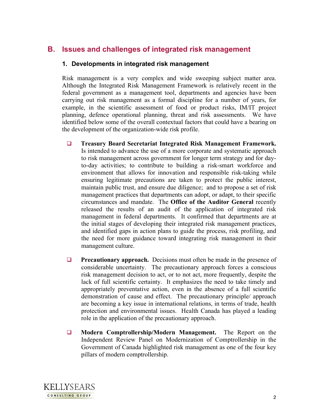# **B. Issues and challenges of integrated risk management**

#### **1. Developments in integrated risk management**

Risk management is a very complex and wide sweeping subject matter area. Although the Integrated Risk Management Framework is relatively recent in the federal government as a management tool, departments and agencies have been carrying out risk management as a formal discipline for a number of years, for example, in the scientific assessment of food or product risks, IM/IT project planning, defence operational planning, threat and risk assessments. We have identified below some of the overall contextual factors that could have a bearing on the development of the organization-wide risk profile.

- **Treasury Board Secretariat Integrated Risk Management Framework.** Is intended to advance the use of a more corporate and systematic approach to risk management across government for longer term strategy and for dayto-day activities; to contribute to building a risk-smart workforce and environment that allows for innovation and responsible risk-taking while ensuring legitimate precautions are taken to protect the public interest, maintain public trust, and ensure due diligence; and to propose a set of risk management practices that departments can adopt, or adapt, to their specific circumstances and mandate. The **Office of the Auditor General** recently released the results of an audit of the application of integrated risk management in federal departments. It confirmed that departments are at the initial stages of developing their integrated risk management practices, and identified gaps in action plans to guide the process, risk profiling, and the need for more guidance toward integrating risk management in their management culture.
- **Precautionary approach.** Decisions must often be made in the presence of considerable uncertainty. The precautionary approach forces a conscious risk management decision to act, or to not act, more frequently, despite the lack of full scientific certainty. It emphasizes the need to take timely and appropriately preventative action, even in the absence of a full scientific demonstration of cause and effect. The precautionary principle/ approach are becoming a key issue in international relations, in terms of trade, health protection and environmental issues. Health Canada has played a leading role in the application of the precautionary approach.
- **Modern Comptrollership/Modern Management.** The Report on the Independent Review Panel on Modernization of Comptrollership in the Government of Canada highlighted risk management as one of the four key pillars of modern comptrollership.

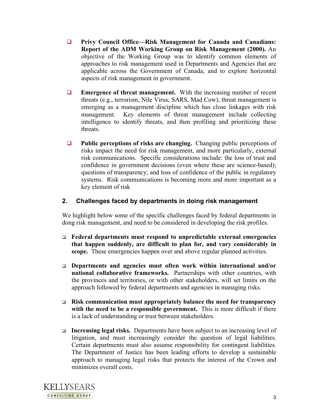- **Privy Council Office—Risk Management for Canada and Canadians: Report of the ADM Working Group on Risk Management (2000).** An objective of the Working Group was to identify common elements of approaches to risk management used in Departments and Agencies that are applicable across the Government of Canada, and to explore horizontal aspects of risk management in government.
- **Emergence of threat management.** With the increasing number of recent threats (e.g., terrorism, Nile Virus, SARS, Mad Cow), threat management is emerging as a management discipline which has close linkages with risk management. Key elements of threat management include collecting intelligence to identify threats, and then profiling and prioritizing these threats.
- **Public perceptions of risks are changing.** Changing public perceptions of risks impact the need for risk management, and more particularly, external risk communications. Specific considerations include: the loss of trust and confidence in government decisions (even where these are science-based); questions of transparency; and loss of confidence of the public in regulatory systems. Risk communications is becoming more and more important as a key element of risk

### **2. Challenges faced by departments in doing risk management**

We highlight below some of the specific challenges faced by federal departments in dong risk management, and need to be considered in developing the risk profiles.

- **Federal departments must respond to unpredictable external emergencies that happen suddenly, are difficult to plan for, and vary considerably in scope.** These emergencies happen over and above regular planned activities.
- **Departments and agencies must often work within international and/or national collaborative frameworks.** Partnerships with other countries, with the provinces and territories, or with other stakeholders, will set limits on the approach followed by federal departments and agencies in managing risks.
- **Risk communication must appropriately balance the need for transparency with the need to be a responsible government.** This is more difficult if there is a lack of understanding or trust between stakeholders.
- **Increasing legal risks.** Departments have been subject to an increasing level of litigation, and must increasingly consider the question of legal liabilities. Certain departments must also assume responsibility for contingent liabilities. The Department of Justice has been leading efforts to develop a sustainable approach to managing legal risks that protects the interest of the Crown and minimizes overall costs.

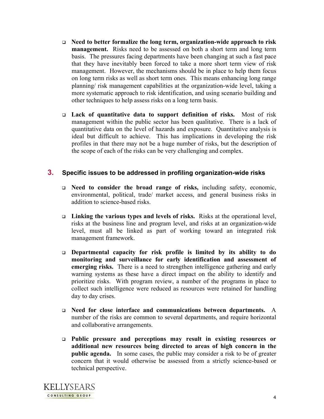- **Need to better formalize the long term, organization-wide approach to risk management.** Risks need to be assessed on both a short term and long term basis. The pressures facing departments have been changing at such a fast pace that they have inevitably been forced to take a more short term view of risk management. However, the mechanisms should be in place to help them focus on long term risks as well as short term ones. This means enhancing long range planning/ risk management capabilities at the organization-wide level, taking a more systematic approach to risk identification, and using scenario building and other techniques to help assess risks on a long term basis.
- **Lack of quantitative data to support definition of risks.** Most of risk management within the public sector has been qualitative. There is a lack of quantitative data on the level of hazards and exposure. Quantitative analysis is ideal but difficult to achieve. This has implications in developing the risk profiles in that there may not be a huge number of risks, but the description of the scope of each of the risks can be very challenging and complex.

#### **3. Specific issues to be addressed in profiling organization-wide risks**

- **Need to consider the broad range of risks,** including safety, economic, environmental, political, trade/ market access, and general business risks in addition to science-based risks.
- **Linking the various types and levels of risks.** Risks at the operational level, risks at the business line and program level, and risks at an organization-wide level, must all be linked as part of working toward an integrated risk management framework.
- **Departmental capacity for risk profile is limited by its ability to do monitoring and surveillance for early identification and assessment of emerging risks.** There is a need to strengthen intelligence gathering and early warning systems as these have a direct impact on the ability to identify and prioritize risks. With program review, a number of the programs in place to collect such intelligence were reduced as resources were retained for handling day to day crises.
- **Need for close interface and communications between departments.** A number of the risks are common to several departments, and require horizontal and collaborative arrangements.
- **Public pressure and perceptions may result in existing resources or additional new resources being directed to areas of high concern in the public agenda.** In some cases, the public may consider a risk to be of greater concern that it would otherwise be assessed from a strictly science-based or technical perspective.

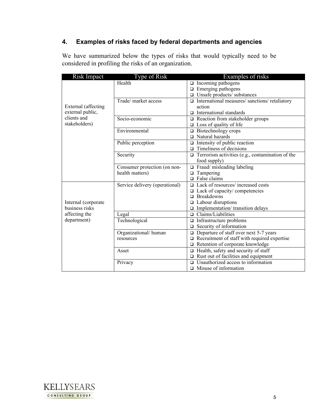# **4. Examples of risks faced by federal departments and agencies**

We have summarized below the types of risks that would typically need to be considered in profiling the risks of an organization.

| Risk Impact         | Type of Risk                   | Examples of risks                                       |
|---------------------|--------------------------------|---------------------------------------------------------|
|                     | Health                         | $\Box$ Incoming pathogens                               |
|                     |                                | $\Box$ Emerging pathogens                               |
|                     |                                | $\square$ Unsafe products/ substances                   |
|                     | Trade/ market access           | $\Box$ International measures/sanctions/retaliatory     |
| External (affecting |                                | action                                                  |
| external public,    |                                | $\Box$ International standards                          |
| clients and         | Socio-economic                 | $\Box$ Reaction from stakeholder groups                 |
| stakeholders)       |                                | $\Box$ Loss of quality of life                          |
|                     | Environmental                  | Biotechnology crops<br>$\Box$                           |
|                     |                                | $\Box$ Natural hazards                                  |
|                     | Public perception              | $\Box$ Intensity of public reaction                     |
|                     |                                | Timeliness of decisions<br>$\Box$                       |
|                     | Security                       | $\Box$ Terrorism activities (e.g., contamination of the |
|                     |                                | food supply)                                            |
|                     | Consumer protection (on non-   | Fraud/misleading labeling<br>$\Box$                     |
|                     | health matters)                | Tampering<br>$\Box$                                     |
|                     |                                | $\Box$ False claims                                     |
|                     | Service delivery (operational) | $\Box$ Lack of resources/ increased costs               |
|                     |                                | $\Box$ Lack of capacity/ competencies                   |
|                     |                                | <b>Breakdowns</b><br>$\Box$                             |
| Internal (corporate |                                | $\Box$ Labour disruptions                               |
| business risks      |                                | $\Box$ Implementation/ transition delays                |
| affecting the       | Legal                          | Claims/Liabilities<br>$\Box$                            |
| department)         | Technological                  | Infrastructure problems<br>$\Box$                       |
|                     |                                | Security of information<br>$\Box$                       |
|                     | Organizational/human           | Departure of staff over next 5-7 years<br>$\Box$        |
|                     | resources                      | $\Box$ Recruitment of staff with required expertise     |
|                     |                                | $\Box$ Retention of corporate knowledge                 |
|                     | Asset                          | $\Box$ Health, safety and security of staff             |
|                     |                                | Rust out of facilities and equipment                    |
|                     | Privacy                        | Unauthorized access to information<br>$\Box$            |
|                     |                                | $\Box$ Misuse of information                            |

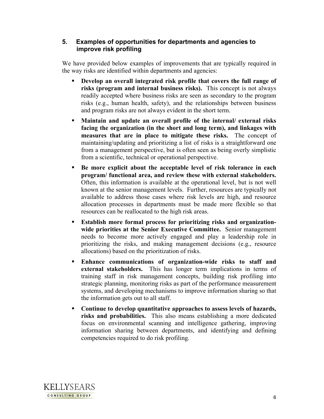#### **5. Examples of opportunities for departments and agencies to improve risk profiling**

We have provided below examples of improvements that are typically required in the way risks are identified within departments and agencies:

- **Develop an overall integrated risk profile that covers the full range of risks (program and internal business risks).** This concept is not always readily accepted where business risks are seen as secondary to the program risks (e.g., human health, safety), and the relationships between business and program risks are not always evident in the short term.
- **Maintain and update an overall profile of the internal/ external risks facing the organization (in the short and long term), and linkages with measures that are in place to mitigate these risks.** The concept of maintaining/updating and prioritizing a list of risks is a straightforward one from a management perspective, but is often seen as being overly simplistic from a scientific, technical or operational perspective.
- **Be more explicit about the acceptable level of risk tolerance in each program/ functional area, and review these with external stakeholders.** Often, this information is available at the operational level, but is not well known at the senior management levels. Further, resources are typically not available to address those cases where risk levels are high, and resource allocation processes in departments must be made more flexible so that resources can be reallocated to the high risk areas.
- **Establish more formal process for prioritizing risks and organizationwide priorities at the Senior Executive Committee.** Senior management needs to become more actively engaged and play a leadership role in prioritizing the risks, and making management decisions (e.g., resource allocations) based on the prioritization of risks.
- **Enhance communications of organization-wide risks to staff and external stakeholders.** This has longer term implications in terms of training staff in risk management concepts, building risk profiling into strategic planning, monitoring risks as part of the performance measurement systems, and developing mechanisms to improve information sharing so that the information gets out to all staff.
- **Continue to develop quantitative approaches to assess levels of hazards, risks and probabilities.** This also means establishing a more dedicated focus on environmental scanning and intelligence gathering, improving information sharing between departments, and identifying and defining competencies required to do risk profiling.

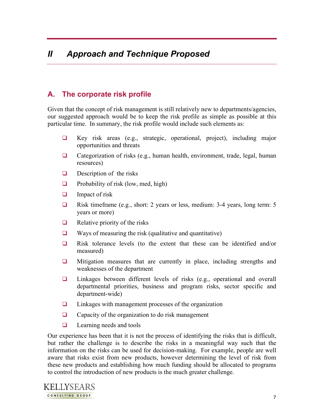# **A. The corporate risk profile**

Given that the concept of risk management is still relatively new to departments/agencies, our suggested approach would be to keep the risk profile as simple as possible at this particular time. In summary, the risk profile would include such elements as:

- $\Box$  Key risk areas (e.g., strategic, operational, project), including major opportunities and threats
- $\Box$  Categorization of risks (e.g., human health, environment, trade, legal, human resources)
- $\Box$  Description of the risks
- $\Box$  Probability of risk (low, med, high)
- $\Box$  Impact of risk
- Risk timeframe (e.g., short: 2 years or less, medium: 3-4 years, long term: 5 years or more)
- $\Box$  Relative priority of the risks
- $\Box$  Ways of measuring the risk (qualitative and quantitative)
- $\Box$  Risk tolerance levels (to the extent that these can be identified and/or measured)
- $\Box$  Mitigation measures that are currently in place, including strengths and weaknesses of the department
- $\Box$  Linkages between different levels of risks (e.g., operational and overall departmental priorities, business and program risks, sector specific and department-wide)
- $\Box$  Linkages with management processes of the organization
- $\Box$  Capacity of the organization to do risk management
- $\Box$  Learning needs and tools

Our experience has been that it is not the process of identifying the risks that is difficult, but rather the challenge is to describe the risks in a meaningful way such that the information on the risks can be used for decision-making. For example, people are well aware that risks exist from new products, however determining the level of risk from these new products and establishing how much funding should be allocated to programs to control the introduction of new products is the much greater challenge.

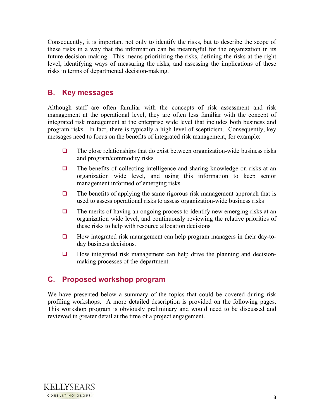Consequently, it is important not only to identify the risks, but to describe the scope of these risks in a way that the information can be meaningful for the organization in its future decision-making. This means prioritizing the risks, defining the risks at the right level, identifying ways of measuring the risks, and assessing the implications of these risks in terms of departmental decision-making.

# **B. Key messages**

Although staff are often familiar with the concepts of risk assessment and risk management at the operational level, they are often less familiar with the concept of integrated risk management at the enterprise wide level that includes both business and program risks. In fact, there is typically a high level of scepticism. Consequently, key messages need to focus on the benefits of integrated risk management, for example:

- $\Box$  The close relationships that do exist between organization-wide business risks and program/commodity risks
- $\Box$  The benefits of collecting intelligence and sharing knowledge on risks at an organization wide level, and using this information to keep senior management informed of emerging risks
- $\Box$  The benefits of applying the same rigorous risk management approach that is used to assess operational risks to assess organization-wide business risks
- $\Box$  The merits of having an ongoing process to identify new emerging risks at an organization wide level, and continuously reviewing the relative priorities of these risks to help with resource allocation decisions
- $\Box$  How integrated risk management can help program managers in their day-today business decisions.
- $\Box$  How integrated risk management can help drive the planning and decisionmaking processes of the department.

## **C. Proposed workshop program**

We have presented below a summary of the topics that could be covered during risk profiling workshops. A more detailed description is provided on the following pages. This workshop program is obviously preliminary and would need to be discussed and reviewed in greater detail at the time of a project engagement.

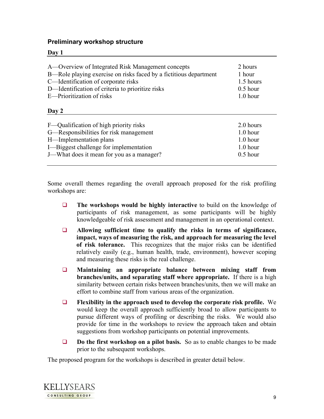#### **Preliminary workshop structure**

#### **Day 1**

| A—Overview of Integrated Risk Management concepts                 | 2 hours    |
|-------------------------------------------------------------------|------------|
| B—Role playing exercise on risks faced by a fictitious department | 1 hour     |
| C-Identification of corporate risks                               | 1.5 hours  |
| D-Identification of criteria to prioritize risks                  | $0.5$ hour |
| E—Prioritization of risks                                         | $1.0$ hour |
| Day 2                                                             |            |
| F—Qualification of high priority risks                            | 2.0 hours  |
| G—Responsibilities for risk management                            | $1.0$ hour |
| H—Implementation plans                                            | $1.0$ hour |
| I-Biggest challenge for implementation                            | $1.0$ hour |
| J—What does it mean for you as a manager?                         | $0.5$ hour |

Some overall themes regarding the overall approach proposed for the risk profiling workshops are:

- **The workshops would be highly interactive** to build on the knowledge of participants of risk management, as some participants will be highly knowledgeable of risk assessment and management in an operational context.
- **Allowing sufficient time to qualify the risks in terms of significance, impact, ways of measuring the risk, and approach for measuring the level of risk tolerance.** This recognizes that the major risks can be identified relatively easily (e.g., human health, trade, environment), however scoping and measuring these risks is the real challenge.
- **Maintaining an appropriate balance between mixing staff from branches/units, and separating staff where appropriate.** If there is a high similarity between certain risks between branches/units, then we will make an effort to combine staff from various areas of the organization.
- **Flexibility in the approach used to develop the corporate risk profile.** We would keep the overall approach sufficiently broad to allow participants to pursue different ways of profiling or describing the risks. We would also provide for time in the workshops to review the approach taken and obtain suggestions from workshop participants on potential improvements.
- **Do the first workshop on a pilot basis.** So as to enable changes to be made prior to the subsequent workshops.

The proposed program for the workshops is described in greater detail below.

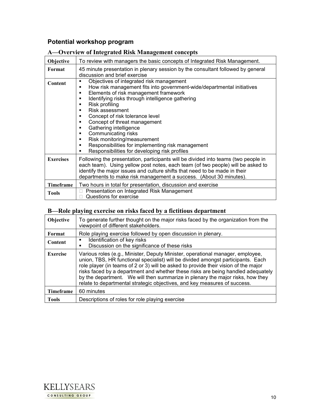### **Potential workshop program**

#### **A—Overview of Integrated Risk Management concepts**

| Objective        | To review with managers the basic concepts of Integrated Risk Management.                                                                                                                                                                                                                                                                                                                                                                                                                                                                                                 |
|------------------|---------------------------------------------------------------------------------------------------------------------------------------------------------------------------------------------------------------------------------------------------------------------------------------------------------------------------------------------------------------------------------------------------------------------------------------------------------------------------------------------------------------------------------------------------------------------------|
| Format           | 45 minute presentation in plenary session by the consultant followed by general<br>discussion and brief exercise                                                                                                                                                                                                                                                                                                                                                                                                                                                          |
| Content          | Objectives of integrated risk management<br>٠<br>How risk management fits into government-wide/departmental initiatives<br>٠<br>Elements of risk management framework<br>٠<br>Identifying risks through intelligence gathering<br>٠<br>Risk profiling<br>٠<br>Risk assessment<br>п<br>Concept of risk tolerance level<br>п<br>Concept of threat management<br>٠<br>Gathering intelligence<br>٠<br>Communicating risks<br>٠<br>Risk monitoring/measurement<br>٠<br>Responsibilities for implementing risk management<br>٠<br>Responsibilities for developing risk profiles |
| <b>Exercises</b> | Following the presentation, participants will be divided into teams (two people in<br>each team). Using yellow post notes, each team (of two people) will be asked to<br>identify the major issues and culture shifts that need to be made in their<br>departments to make risk management a success. (About 30 minutes).                                                                                                                                                                                                                                                 |
| Timeframe        | Two hours in total for presentation, discussion and exercise                                                                                                                                                                                                                                                                                                                                                                                                                                                                                                              |
| <b>Tools</b>     | Presentation on Integrated Risk Management<br>Questions for exercise                                                                                                                                                                                                                                                                                                                                                                                                                                                                                                      |

# **B—Role playing exercise on risks faced by a fictitious department**

| <b>Objective</b> | To generate further thought on the major risks faced by the organization from the<br>viewpoint of different stakeholders.                                                                                                                                                                                                                                                                                                                                                                                    |
|------------------|--------------------------------------------------------------------------------------------------------------------------------------------------------------------------------------------------------------------------------------------------------------------------------------------------------------------------------------------------------------------------------------------------------------------------------------------------------------------------------------------------------------|
| Format           | Role playing exercise followed by open discussion in plenary.                                                                                                                                                                                                                                                                                                                                                                                                                                                |
| Content          | Identification of key risks<br>٠<br>Discussion on the significance of these risks                                                                                                                                                                                                                                                                                                                                                                                                                            |
| <b>Exercise</b>  | Various roles (e.g., Minister, Deputy Minister, operational manager, employee,<br>union, TBS, HR functional specialist) will be divided amongst participants. Each<br>role player (in teams of 2 or 3) will be asked to provide their vision of the major<br>risks faced by a department and whether these risks are being handled adequately<br>by the department. We will then summarize in plenary the major risks, how they<br>relate to departmental strategic objectives, and key measures of success. |
| <b>Timeframe</b> | 60 minutes                                                                                                                                                                                                                                                                                                                                                                                                                                                                                                   |
| <b>Tools</b>     | Descriptions of roles for role playing exercise                                                                                                                                                                                                                                                                                                                                                                                                                                                              |

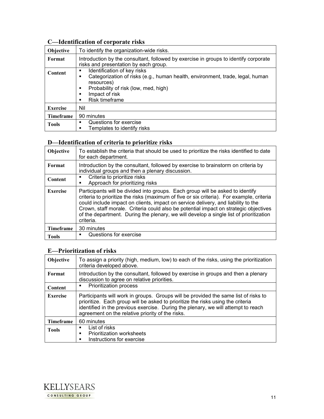# **C—Identification of corporate risks**

| <b>Objective</b> | To identify the organization-wide risks.                                                                                                                                                                                               |
|------------------|----------------------------------------------------------------------------------------------------------------------------------------------------------------------------------------------------------------------------------------|
| Format           | Introduction by the consultant, followed by exercise in groups to identify corporate<br>risks and presentation by each group.                                                                                                          |
| <b>Content</b>   | Identification of key risks<br>٠<br>Categorization of risks (e.g., human health, environment, trade, legal, human<br>٠<br>resources)<br>Probability of risk (low, med, high)<br>п<br>Impact of risk<br>п<br><b>Risk timeframe</b><br>п |
| <b>Exercise</b>  | Nil                                                                                                                                                                                                                                    |
| <b>Timeframe</b> | 90 minutes                                                                                                                                                                                                                             |
| <b>Tools</b>     | Questions for exercise<br>п<br>Templates to identify risks<br>▪                                                                                                                                                                        |

#### **D—Identification of criteria to prioritize risks**

| <b>Objective</b> | To establish the criteria that should be used to prioritize the risks identified to date<br>for each department.                                                                                                                                                                                                                                                                                                                                                |
|------------------|-----------------------------------------------------------------------------------------------------------------------------------------------------------------------------------------------------------------------------------------------------------------------------------------------------------------------------------------------------------------------------------------------------------------------------------------------------------------|
| Format           | Introduction by the consultant, followed by exercise to brainstorm on criteria by<br>individual groups and then a plenary discussion.                                                                                                                                                                                                                                                                                                                           |
| <b>Content</b>   | Criteria to prioritize risks<br>٠<br>Approach for prioritizing risks<br>▪                                                                                                                                                                                                                                                                                                                                                                                       |
| <b>Exercise</b>  | Participants will be divided into groups. Each group will be asked to identify<br>criteria to prioritize the risks (maximum of five or six criteria). For example, criteria<br>could include impact on clients, impact on service delivery, and liability to the<br>Crown, staff morale. Criteria could also be potential impact on strategic objectives<br>of the department. During the plenary, we will develop a single list of prioritization<br>criteria. |
| Timeframe        | 30 minutes                                                                                                                                                                                                                                                                                                                                                                                                                                                      |
| <b>Tools</b>     | Questions for exercise                                                                                                                                                                                                                                                                                                                                                                                                                                          |

# **E—Prioritization of risks**

| <b>Objective</b> | To assign a priority (high, medium, low) to each of the risks, using the prioritization<br>criteria developed above.                                                                                                                                                                                            |
|------------------|-----------------------------------------------------------------------------------------------------------------------------------------------------------------------------------------------------------------------------------------------------------------------------------------------------------------|
| Format           | Introduction by the consultant, followed by exercise in groups and then a plenary<br>discussion to agree on relative priorities.                                                                                                                                                                                |
| Content          | Prioritization process<br>٠                                                                                                                                                                                                                                                                                     |
| <b>Exercise</b>  | Participants will work in groups. Groups will be provided the same list of risks to<br>prioritize. Each group will be asked to prioritize the risks using the criteria<br>identified in the previous exercise. During the plenary, we will attempt to reach<br>agreement on the relative priority of the risks. |
| <b>Timeframe</b> | 60 minutes                                                                                                                                                                                                                                                                                                      |
| <b>Tools</b>     | List of risks<br>٠<br><b>Prioritization worksheets</b><br>п<br>Instructions for exercise<br>п                                                                                                                                                                                                                   |

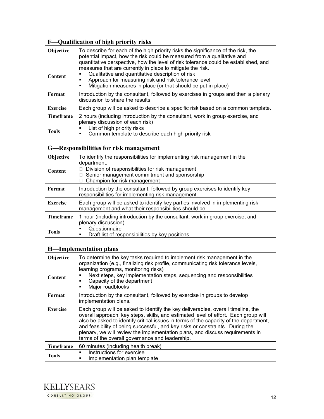# **F—Qualification of high priority risks**

| Objective        | To describe for each of the high priority risks the significance of the risk, the<br>potential impact, how the risk could be measured from a qualitative and<br>quantitative perspective, how the level of risk tolerance could be established, and<br>measures that are currently in place to mitigate the risk. |
|------------------|-------------------------------------------------------------------------------------------------------------------------------------------------------------------------------------------------------------------------------------------------------------------------------------------------------------------|
| <b>Content</b>   | Qualitative and quantitative description of risk<br>п<br>Approach for measuring risk and risk tolerance level<br>п<br>Mitigation measures in place (or that should be put in place)                                                                                                                               |
| Format           | Introduction by the consultant, followed by exercises in groups and then a plenary<br>discussion to share the results                                                                                                                                                                                             |
| <b>Exercise</b>  | Each group will be asked to describe a specific risk based on a common template.                                                                                                                                                                                                                                  |
| <b>Timeframe</b> | 2 hours (including introduction by the consultant, work in group exercise, and<br>plenary discussion of each risk)                                                                                                                                                                                                |
| <b>Tools</b>     | List of high priority risks<br>٠<br>Common template to describe each high priority risk<br>п                                                                                                                                                                                                                      |

### **G—Responsibilities for risk management**

| <b>Objective</b> | To identify the responsibilities for implementing risk management in the<br>department.                                                |
|------------------|----------------------------------------------------------------------------------------------------------------------------------------|
| <b>Content</b>   | Division of responsibilities for risk management<br>Senior management commitment and sponsorship<br>Champion for risk management       |
| Format           | Introduction by the consultant, followed by group exercises to identify key<br>responsibilities for implementing risk management.      |
| <b>Exercise</b>  | Each group will be asked to identify key parties involved in implementing risk<br>management and what their responsibilities should be |
| Timeframe        | 1 hour (including introduction by the consultant, work in group exercise, and<br>plenary discussion)                                   |
| <b>Tools</b>     | Questionnaire<br>٠<br>Draft list of responsibilities by key positions<br>п                                                             |

# **H—Implementation plans**

| Objective        | To determine the key tasks required to implement risk management in the<br>organization (e.g., finalizing risk profile, communicating risk tolerance levels,<br>learning programs, monitoring risks)                                                                                                                                                                                                                                                                                  |
|------------------|---------------------------------------------------------------------------------------------------------------------------------------------------------------------------------------------------------------------------------------------------------------------------------------------------------------------------------------------------------------------------------------------------------------------------------------------------------------------------------------|
| Content          | Next steps, key implementation steps, sequencing and responsibilities<br>п<br>Capacity of the department<br>п<br>Major roadblocks<br>п                                                                                                                                                                                                                                                                                                                                                |
| Format           | Introduction by the consultant, followed by exercise in groups to develop<br>implementation plans.                                                                                                                                                                                                                                                                                                                                                                                    |
| <b>Exercise</b>  | Each group will be asked to identify the key deliverables, overall timeline, the<br>overall approach, key steps, skills, and estimated level of effort. Each group will<br>also be asked to identify critical issues in terms of the capacity of the department,<br>and feasibility of being successful, and key risks or constraints. During the<br>plenary, we will review the implementation plans, and discuss requirements in<br>terms of the overall governance and leadership. |
| <b>Timeframe</b> | 60 minutes (including health break)                                                                                                                                                                                                                                                                                                                                                                                                                                                   |
| <b>Tools</b>     | Instructions for exercise<br>$\blacksquare$<br>Implementation plan template<br>п                                                                                                                                                                                                                                                                                                                                                                                                      |

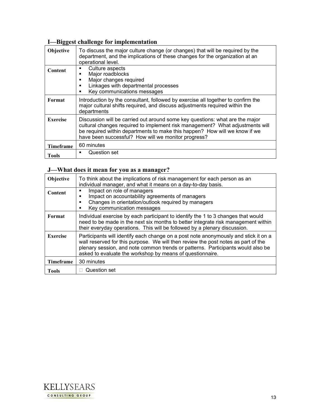# **I—Biggest challenge for implementation**

| <b>Objective</b> | To discuss the major culture change (or changes) that will be required by the<br>department, and the implications of these changes for the organization at an<br>operational level.                                                                                                                |
|------------------|----------------------------------------------------------------------------------------------------------------------------------------------------------------------------------------------------------------------------------------------------------------------------------------------------|
| <b>Content</b>   | Culture aspects<br>٠<br>Major roadblocks<br>Major changes required<br>п<br>Linkages with departmental processes<br>$\blacksquare$<br>Key communications messages<br>п                                                                                                                              |
| Format           | Introduction by the consultant, followed by exercise all together to confirm the<br>major cultural shifts required, and discuss adjustments required within the<br>departments                                                                                                                     |
| <b>Exercise</b>  | Discussion will be carried out around some key questions: what are the major<br>cultural changes required to implement risk management? What adjustments will<br>be required within departments to make this happen? How will we know if we<br>have been successful? How will we monitor progress? |
| <b>Timeframe</b> | 60 minutes                                                                                                                                                                                                                                                                                         |
| <b>Tools</b>     | Question set                                                                                                                                                                                                                                                                                       |

# **J—What does it mean for you as a manager?**

| <b>Objective</b> | To think about the implications of risk management for each person as an<br>individual manager, and what it means on a day-to-day basis.                                                                                                                                                                                 |
|------------------|--------------------------------------------------------------------------------------------------------------------------------------------------------------------------------------------------------------------------------------------------------------------------------------------------------------------------|
| <b>Content</b>   | Impact on role of managers<br>п<br>Impact on accountability agreements of managers<br>п<br>Changes in orientation/outlook required by managers<br>п<br>Key communication messages                                                                                                                                        |
| Format           | Individual exercise by each participant to identify the 1 to 3 changes that would<br>need to be made in the next six months to better integrate risk management within<br>their everyday operations. This will be followed by a plenary discussion.                                                                      |
| <b>Exercise</b>  | Participants will identify each change on a post note anonymously and stick it on a<br>wall reserved for this purpose. We will then review the post notes as part of the<br>plenary session, and note common trends or patterns. Participants would also be<br>asked to evaluate the workshop by means of questionnaire. |
| <b>Timeframe</b> | 30 minutes                                                                                                                                                                                                                                                                                                               |
| <b>Tools</b>     | Question set                                                                                                                                                                                                                                                                                                             |

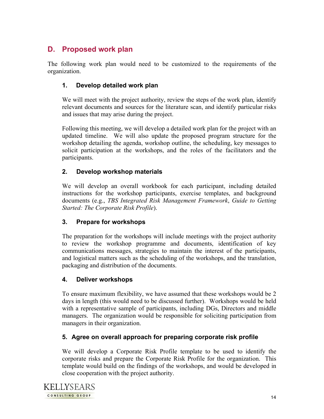# **D. Proposed work plan**

The following work plan would need to be customized to the requirements of the organization.

### **1. Develop detailed work plan**

We will meet with the project authority, review the steps of the work plan, identify relevant documents and sources for the literature scan, and identify particular risks and issues that may arise during the project.

Following this meeting, we will develop a detailed work plan for the project with an updated timeline. We will also update the proposed program structure for the workshop detailing the agenda, workshop outline, the scheduling, key messages to solicit participation at the workshops, and the roles of the facilitators and the participants.

### **2. Develop workshop materials**

We will develop an overall workbook for each participant, including detailed instructions for the workshop participants, exercise templates, and background documents (e.g., *TBS Integrated Risk Management Framework*, *Guide to Getting Started: The Corporate Risk Profile*).

### **3. Prepare for workshops**

The preparation for the workshops will include meetings with the project authority to review the workshop programme and documents, identification of key communications messages, strategies to maintain the interest of the participants, and logistical matters such as the scheduling of the workshops, and the translation, packaging and distribution of the documents.

### **4. Deliver workshops**

To ensure maximum flexibility, we have assumed that these workshops would be 2 days in length (this would need to be discussed further). Workshops would be held with a representative sample of participants, including DGs, Directors and middle managers. The organization would be responsible for soliciting participation from managers in their organization.

### **5. Agree on overall approach for preparing corporate risk profile**

We will develop a Corporate Risk Profile template to be used to identify the corporate risks and prepare the Corporate Risk Profile for the organization. This template would build on the findings of the workshops, and would be developed in close cooperation with the project authority.

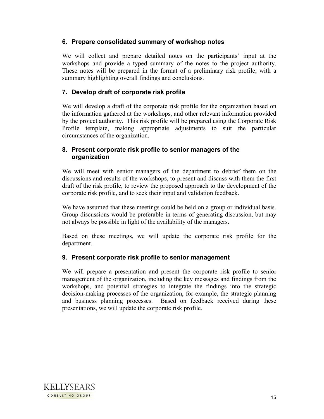#### **6. Prepare consolidated summary of workshop notes**

We will collect and prepare detailed notes on the participants' input at the workshops and provide a typed summary of the notes to the project authority. These notes will be prepared in the format of a preliminary risk profile, with a summary highlighting overall findings and conclusions.

### **7. Develop draft of corporate risk profile**

We will develop a draft of the corporate risk profile for the organization based on the information gathered at the workshops, and other relevant information provided by the project authority. This risk profile will be prepared using the Corporate Risk Profile template, making appropriate adjustments to suit the particular circumstances of the organization.

#### **8. Present corporate risk profile to senior managers of the organization**

We will meet with senior managers of the department to debrief them on the discussions and results of the workshops, to present and discuss with them the first draft of the risk profile, to review the proposed approach to the development of the corporate risk profile, and to seek their input and validation feedback.

We have assumed that these meetings could be held on a group or individual basis. Group discussions would be preferable in terms of generating discussion, but may not always be possible in light of the availability of the managers.

Based on these meetings, we will update the corporate risk profile for the department.

### **9. Present corporate risk profile to senior management**

We will prepare a presentation and present the corporate risk profile to senior management of the organization, including the key messages and findings from the workshops, and potential strategies to integrate the findings into the strategic decision-making processes of the organization, for example, the strategic planning and business planning processes. Based on feedback received during these presentations, we will update the corporate risk profile.